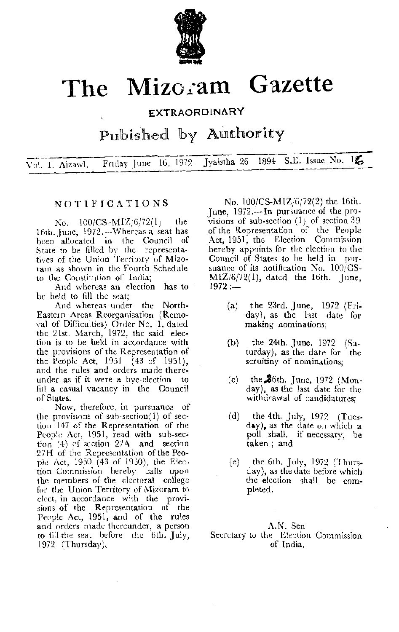

# **The** Mizoram **Gazette**

EXTRAORDINARY

Published by Authority

 $\overline{Vol. 1. Aizawl, }$  Friday June 16, 1972. Jyaistha 26 1894 S.E. Issue No. 16

### NOTIFICATIONS

 $\text{No.} \quad 100/\text{CS-MIZ}/6/72(1)$  the 16th. June, 1972.- Whereas a seat has been allocated in the Council of State to be filled by the representatives of the Union Territory of Mizoram as shown in the Fourth Schedule to the Constitution of India;

And whereas an election has to be held to fill the seat;

And whereas under the North- -Eastern Areas Reorganisation (Removal of Difficulties) Order No.1, dated the 21st. March, 1972, the said election is to be held in accordance with the provisions of the Representation of the People Act, 1951 (43 of 1951), and the rules and orders made thereunder as if it were a bye-election to fill a casual vacancy in the Council of States.

Now, therefore, in pursuance of the provisions of sub-section $(1)$  of section 147 of the Representation of the People Act, 1951, read with sub-section  $(4)$  of section 27A and section 27H of the Representation of the People Act, 1950 (43 of 1950), the Elec. tion Commission hereby calls upon the members of the electoral college for the Union Territory of Mizoram to elect, in accordance with the provisions of the Representation of the People Act, 1951, and of the rules and orders made thereunder, a person to fill the seat before the 6th. July, 1972 (Thursday).

No. 100/CS-MIZ/6/72(2) the 16th. June, 1972.-In pursuance of the provisions of sub-section  $(1)$  of section 39 of the Representation of the People Act, 1951, the Election Commission hereby appoints for the election to the Council of States to be held in pursuance of its notification  $No. 100/CS MIZ/6/72(1)$ , dated the 16th. June,  $1972 :=$ 

- (a) the 23rd. June, 1972 (Friday), as the last date for making nominations;
- (h) the 24th. June, 1972 (Saturday), as the date for the scruitiny of nominations;
- (c) the  $\lambda$ 6th. June, 1972 (Monday), as the last date for the withdrawal of candidatures;
- (d) the 4th. July, 1972 (Tuesday), as the date on which a poll shall. if necessary, be taken; and
- (e) the 6th. July, 1972 (Thursday), as the date before which the election shall be completed.

## A.N. Sen

Secretary to the Election Commission of India.